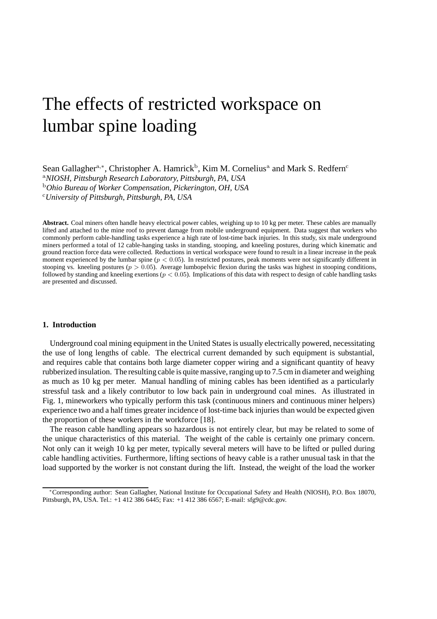# The effects of restricted workspace on lumbar spine loading

Sean Gallagher<sup>a,∗</sup>, Christopher A. Hamrick<sup>b</sup>, Kim M. Cornelius<sup>a</sup> and Mark S. Redfern<sup>c</sup> <sup>a</sup>*NIOSH, Pittsburgh Research Laboratory, Pittsburgh, PA, USA*  <sup>b</sup>*Ohio Bureau of Worker Compensation, Pickerington, OH, USA*  <sup>c</sup>*University of Pittsburgh, Pittsburgh, PA, USA* 

**Abstract.** Coal miners often handle heavy electrical power cables, weighing up to 10 kg per meter. These cables are manually lifted and attached to the mine roof to prevent damage from mobile underground equipment. Data suggest that workers who commonly perform cable-handling tasks experience a high rate of lost-time back injuries. In this study, six male underground miners performed a total of 12 cable-hanging tasks in standing, stooping, and kneeling postures, during which kinematic and ground reaction force data were collected. Reductions in vertical workspace were found to result in a linear increase in the peak moment experienced by the lumbar spine  $(p < 0.05)$ . In restricted postures, peak moments were not significantly different in stooping vs. kneeling postures ( $p > 0.05$ ). Average lumbopelvic flexion during the tasks was highest in stooping conditions, followed by standing and kneeling exertions  $(p < 0.05)$ . Implications of this data with respect to design of cable handling tasks are presented and discussed.

## **1. Introduction**

Underground coal mining equipment in the United States is usually electrically powered, necessitating the use of long lengths of cable. The electrical current demanded by such equipment is substantial, and requires cable that contains both large diameter copper wiring and a significant quantity of heavy rubberized insulation. The resulting cable is quite massive, ranging up to 7.5 cm in diameter and weighing as much as 10 kg per meter. Manual handling of mining cables has been identified as a particularly stressful task and a likely contributor to low back pain in underground coal mines. As illustrated in Fig. 1, mineworkers who typically perform this task (continuous miners and continuous miner helpers) experience two and a half times greater incidence of lost-time back injuries than would be expected given the proportion of these workers in the workforce [18].

The reason cable handling appears so hazardous is not entirely clear, but may be related to some of the unique characteristics of this material. The weight of the cable is certainly one primary concern. Not only can it weigh 10 kg per meter, typically several meters will have to be lifted or pulled during cable handling activities. Furthermore, lifting sections of heavy cable is a rather unusual task in that the load supported by the worker is not constant during the lift. Instead, the weight of the load the worker

<sup>∗</sup>Corresponding author: Sean Gallagher, National Institute for Occupational Safety and Health (NIOSH), P.O. Box 18070, Pittsburgh, PA, USA. Tel.: +1 412 386 6445; Fax: +1 412 386 6567; E-mail: sfg9@cdc.gov.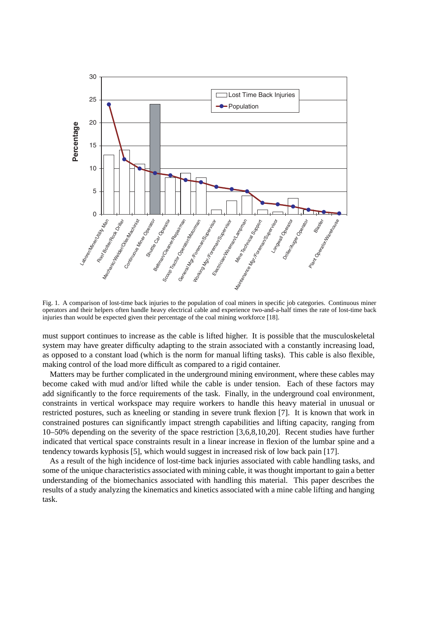

Fig. 1. A comparison of lost-time back injuries to the population of coal miners in specific job categories. Continuous miner operators and their helpers often handle heavy electrical cable and experience two-and-a-half times the rate of lost-time back injuries than would be expected given their percentage of the coal mining workforce [18].

must support continues to increase as the cable is lifted higher. It is possible that the musculoskeletal system may have greater difficulty adapting to the strain associated with a constantly increasing load, as opposed to a constant load (which is the norm for manual lifting tasks). This cable is also flexible, making control of the load more difficult as compared to a rigid container.

Matters may be further complicated in the underground mining environment, where these cables may become caked with mud and/or lifted while the cable is under tension. Each of these factors may add significantly to the force requirements of the task. Finally, in the underground coal environment, constraints in vertical workspace may require workers to handle this heavy material in unusual or restricted postures, such as kneeling or standing in severe trunk flexion [7]. It is known that work in constrained postures can significantly impact strength capabilities and lifting capacity, ranging from 10–50% depending on the severity of the space restriction [3,6,8,10,20]. Recent studies have further indicated that vertical space constraints result in a linear increase in flexion of the lumbar spine and a tendency towards kyphosis [5], which would suggest in increased risk of low back pain [17].

As a result of the high incidence of lost-time back injuries associated with cable handling tasks, and some of the unique characteristics associated with mining cable, it was thought important to gain a better understanding of the biomechanics associated with handling this material. This paper describes the results of a study analyzing the kinematics and kinetics associated with a mine cable lifting and hanging task.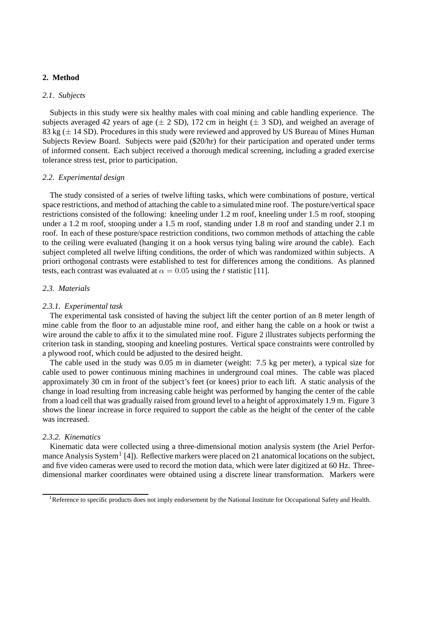## **2. Method**

## *2.1. Subjects*

Subjects in this study were six healthy males with coal mining and cable handling experience. The subjects averaged 42 years of age  $(\pm 2 \text{ SD})$ , 172 cm in height  $(\pm 3 \text{ SD})$ , and weighed an average of 83 kg  $(\pm 14$  SD). Procedures in this study were reviewed and approved by US Bureau of Mines Human Subjects Review Board. Subjects were paid (\$20/hr) for their participation and operated under terms of informed consent. Each subject received a thorough medical screening, including a graded exercise tolerance stress test, prior to participation.

## *2.2. Experimental design*

The study consisted of a series of twelve lifting tasks, which were combinations of posture, vertical space restrictions, and method of attaching the cable to a simulated mine roof. The posture/vertical space restrictions consisted of the following: kneeling under 1.2 m roof, kneeling under 1.5 m roof, stooping under a 1.2 m roof, stooping under a 1.5 m roof, standing under 1.8 m roof and standing under 2.1 m roof. In each of these posture/space restriction conditions, two common methods of attaching the cable to the ceiling were evaluated (hanging it on a hook versus tying baling wire around the cable). Each subject completed all twelve lifting conditions, the order of which was randomized within subjects. A priori orthogonal contrasts were established to test for differences among the conditions. As planned tests, each contrast was evaluated at  $\alpha = 0.05$  using the t statistic [11].

## *2.3. Materials*

## *2.3.1. Experimental task*

The experimental task consisted of having the subject lift the center portion of an 8 meter length of mine cable from the floor to an adjustable mine roof, and either hang the cable on a hook or twist a wire around the cable to affix it to the simulated mine roof. Figure 2 illustrates subjects performing the criterion task in standing, stooping and kneeling postures. Vertical space constraints were controlled by a plywood roof, which could be adjusted to the desired height.

The cable used in the study was 0.05 m in diameter (weight: 7.5 kg per meter), a typical size for cable used to power continuous mining machines in underground coal mines. The cable was placed approximately 30 cm in front of the subject's feet (or knees) prior to each lift. A static analysis of the change in load resulting from increasing cable height was performed by hanging the center of the cable from a load cell that was gradually raised from ground level to a height of approximately 1.9 m. Figure 3 shows the linear increase in force required to support the cable as the height of the center of the cable was increased.

## *2.3.2. Kinematics*

Kinematic data were collected using a three-dimensional motion analysis system (the Ariel Performance Analysis System<sup>1</sup> [4]). Reflective markers were placed on 21 anatomical locations on the subject, and five video cameras were used to record the motion data, which were later digitized at 60 Hz. Threedimensional marker coordinates were obtained using a discrete linear transformation. Markers were

<sup>&</sup>lt;sup>1</sup>Reference to specific products does not imply endorsement by the National Institute for Occupational Safety and Health.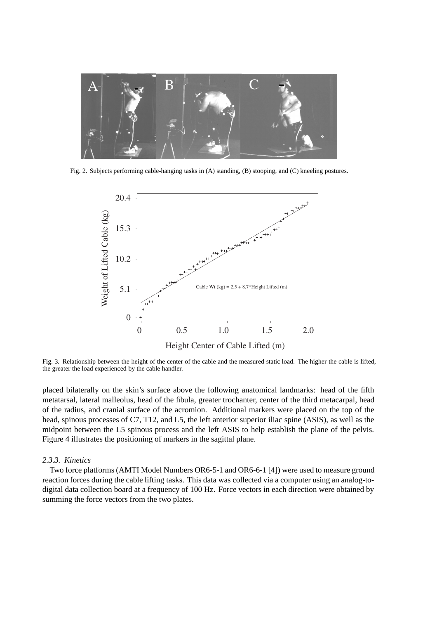

Fig. 2. Subjects performing cable-hanging tasks in (A) standing, (B) stooping, and (C) kneeling postures.



Fig. 3. Relationship between the height of the center of the cable and the measured static load. The higher the cable is lifted, the greater the load experienced by the cable handler.

placed bilaterally on the skin's surface above the following anatomical landmarks: head of the fifth metatarsal, lateral malleolus, head of the fibula, greater trochanter, center of the third metacarpal, head of the radius, and cranial surface of the acromion. Additional markers were placed on the top of the head, spinous processes of C7, T12, and L5, the left anterior superior iliac spine (ASIS), as well as the midpoint between the L5 spinous process and the left ASIS to help establish the plane of the pelvis. Figure 4 illustrates the positioning of markers in the sagittal plane.

### *2.3.3. Kinetics*

Two force platforms (AMTI Model Numbers OR6-5-1 and OR6-6-1 [4]) were used to measure ground reaction forces during the cable lifting tasks. This data was collected via a computer using an analog-todigital data collection board at a frequency of 100 Hz. Force vectors in each direction were obtained by summing the force vectors from the two plates.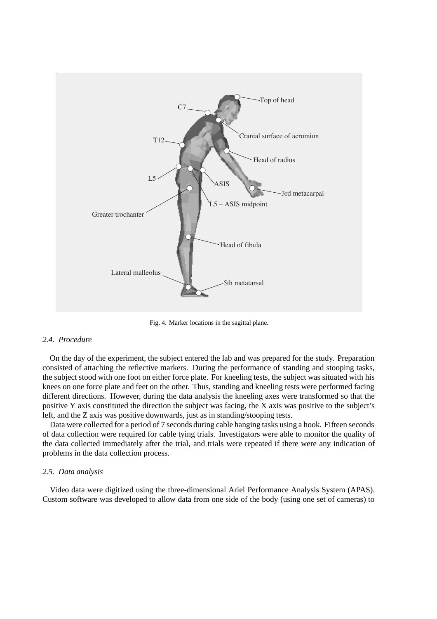

Fig. 4. Marker locations in the sagittal plane.

## *2.4. Procedure*

On the day of the experiment, the subject entered the lab and was prepared for the study. Preparation consisted of attaching the reflective markers. During the performance of standing and stooping tasks, the subject stood with one foot on either force plate. For kneeling tests, the subject was situated with his knees on one force plate and feet on the other. Thus, standing and kneeling tests were performed facing different directions. However, during the data analysis the kneeling axes were transformed so that the positive Y axis constituted the direction the subject was facing, the X axis was positive to the subject's left, and the Z axis was positive downwards, just as in standing/stooping tests.

Data were collected for a period of 7 seconds during cable hanging tasks using a hook. Fifteen seconds of data collection were required for cable tying trials. Investigators were able to monitor the quality of the data collected immediately after the trial, and trials were repeated if there were any indication of problems in the data collection process.

#### *2.5. Data analysis*

Video data were digitized using the three-dimensional Ariel Performance Analysis System (APAS). Custom software was developed to allow data from one side of the body (using one set of cameras) to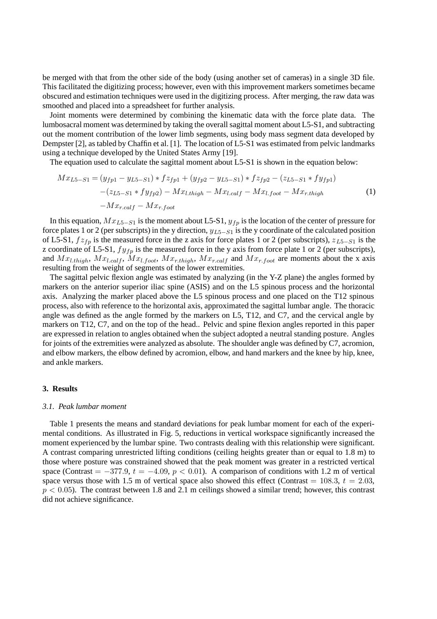be merged with that from the other side of the body (using another set of cameras) in a single 3D file. This facilitated the digitizing process; however, even with this improvement markers sometimes became obscured and estimation techniques were used in the digitizing process. After merging, the raw data was smoothed and placed into a spreadsheet for further analysis.

Joint moments were determined by combining the kinematic data with the force plate data. The lumbosacral moment was determined by taking the overall sagittal moment about L5-S1, and subtracting out the moment contribution of the lower limb segments, using body mass segment data developed by Dempster [2], as tabled by Chaffin et al. [1]. The location of L5-S1 was estimated from pelvic landmarks using a technique developed by the United States Army [19].

The equation used to calculate the sagittal moment about L5-S1 is shown in the equation below:

$$
Mx_{L5-S1} = (y_{fp1} - y_{L5-S1}) * f z_{fp1} + (y_{fp2} - y_{L5-S1}) * f z_{fp2} - (z_{L5-S1} * f y_{fp1})
$$

$$
- (z_{L5-S1} * f y_{fp2}) - M x_{l.thigh} - M x_{l.calf} - M x_{l.foot} - M x_{r.thigh}
$$

$$
- M x_{r.calf} - M x_{r.foot}
$$
 (1)

In this equation, Mx*L*5−*S*<sup>1</sup> is the moment about L5-S1, y*fp* is the location of the center of pressure for force plates 1 or 2 (per subscripts) in the y direction, y*L*5−*S*<sup>1</sup> is the y coordinate of the calculated position of L5-S1, fz*fp* is the measured force in the z axis for force plates 1 or 2 (per subscripts), z*L*5−*S*<sup>1</sup> is the z coordinate of L5-S1,  $f y_{fp}$  is the measured force in the y axis from force plate 1 or 2 (per subscripts), and  $Mx_{l.thigh}$ ,  $Mx_{l.calf}$ ,  $Mx_{l.foot}$ ,  $Mx_{r.thigh}$ ,  $Mx_{r.calf}$  and  $Mx_{r.foot}$  are moments about the x axis resulting from the weight of segments of the lower extremities.

The sagittal pelvic flexion angle was estimated by analyzing (in the Y-Z plane) the angles formed by markers on the anterior superior iliac spine (ASIS) and on the L5 spinous process and the horizontal axis. Analyzing the marker placed above the L5 spinous process and one placed on the T12 spinous process, also with reference to the horizontal axis, approximated the sagittal lumbar angle. The thoracic angle was defined as the angle formed by the markers on L5, T12, and C7, and the cervical angle by markers on T12, C7, and on the top of the head.. Pelvic and spine flexion angles reported in this paper are expressed in relation to angles obtained when the subject adopted a neutral standing posture. Angles for joints of the extremities were analyzed as absolute. The shoulder angle was defined by C7, acromion, and elbow markers, the elbow defined by acromion, elbow, and hand markers and the knee by hip, knee, and ankle markers.

#### **3. Results**

#### *3.1. Peak lumbar moment*

Table 1 presents the means and standard deviations for peak lumbar moment for each of the experimental conditions. As illustrated in Fig. 5, reductions in vertical workspace significantly increased the moment experienced by the lumbar spine. Two contrasts dealing with this relationship were significant. A contrast comparing unrestricted lifting conditions (ceiling heights greater than or equal to 1.8 m) to those where posture was constrained showed that the peak moment was greater in a restricted vertical space (Contrast =  $-377.9$ ,  $t = -4.09$ ,  $p < 0.01$ ). A comparison of conditions with 1.2 m of vertical space versus those with 1.5 m of vertical space also showed this effect (Contrast = 108.3,  $t = 2.03$ ,  $p < 0.05$ ). The contrast between 1.8 and 2.1 m ceilings showed a similar trend; however, this contrast did not achieve significance.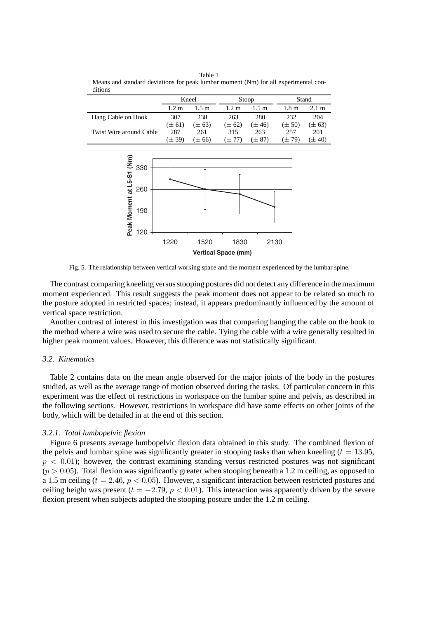| 111111                  |                 |            |                 |            |                  |                 |
|-------------------------|-----------------|------------|-----------------|------------|------------------|-----------------|
|                         | Kneel           |            | Stoop           |            | Stand            |                 |
|                         | $1.2 \text{ m}$ | 1.5 m      | $1.2 \text{ m}$ | 1.5 m      | 1.8 <sub>m</sub> | $2.1 \text{ m}$ |
| Hang Cable on Hook      | 307             | 238        | 263             | 280        | 232              | 204             |
|                         | $(\pm 61)$      | $(\pm 63)$ | $(\pm 62)$      | $(\pm 46)$ | $(\pm 50)$       | $(\pm 63)$      |
| Twist Wire around Cable | 287             | 261        | 315             | 263        | 257              | 201             |
|                         | $(\pm 39)$      | $\pm 66$   | $(+ 77)$        | $(\pm 87)$ | (± 79)           | (± 40)          |

Table 1 Means and standard deviations for peak lumbar moment (Nm) for all experimental conditions



Fig. 5. The relationship between vertical working space and the moment experienced by the lumbar spine.

The contrast comparing kneeling versus stooping postures did not detect any difference in the maximum moment experienced. This result suggests the peak moment does not appear to be related so much to the posture adopted in restricted spaces; instead, it appears predominantly influenced by the amount of vertical space restriction.

Another contrast of interest in this investigation was that comparing hanging the cable on the hook to the method where a wire was used to secure the cable. Tying the cable with a wire generally resulted in higher peak moment values. However, this difference was not statistically significant.

## *3.2. Kinematics*

Table 2 contains data on the mean angle observed for the major joints of the body in the postures studied, as well as the average range of motion observed during the tasks. Of particular concern in this experiment was the effect of restrictions in workspace on the lumbar spine and pelvis, as described in the following sections. However, restrictions in workspace did have some effects on other joints of the body, which will be detailed in at the end of this section.

## *3.2.1. Total lumbopelvic flexion*

Figure 6 presents average lumbopelvic flexion data obtained in this study. The combined flexion of the pelvis and lumbar spine was significantly greater in stooping tasks than when kneeling  $(t = 13.95,$  $p < 0.01$ ); however, the contrast examining standing versus restricted postures was not significant  $(p > 0.05)$ . Total flexion was significantly greater when stooping beneath a 1.2 m ceiling, as opposed to a 1.5 m ceiling ( $t = 2.46$ ,  $p < 0.05$ ). However, a significant interaction between restricted postures and ceiling height was present  $(t = -2.79, p < 0.01)$ . This interaction was apparently driven by the severe flexion present when subjects adopted the stooping posture under the 1.2 m ceiling.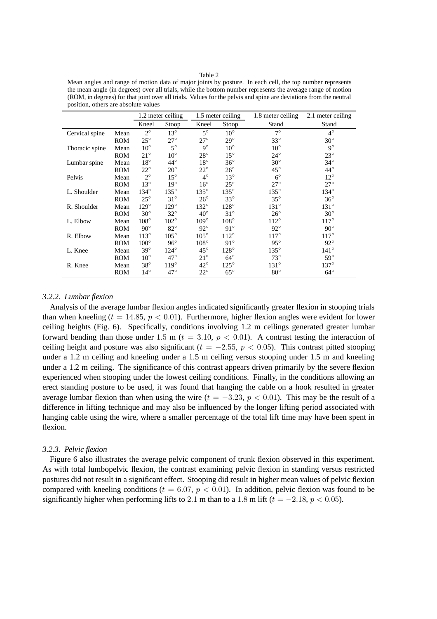| Mean angles and range of motion data of major joints by posture. In each cell, the top number represents          |
|-------------------------------------------------------------------------------------------------------------------|
| the mean angle (in degrees) over all trials, while the bottom number represents the average range of motion       |
| (ROM, in degrees) for that joint over all trials. Values for the pelvis and spine are deviations from the neutral |
| position, others are absolute values                                                                              |

|                 |            |               | 1.2 meter ceiling | 1.5 meter ceiling |               | 1.8 meter ceiling | 2.1 meter ceiling |
|-----------------|------------|---------------|-------------------|-------------------|---------------|-------------------|-------------------|
|                 |            | Kneel         | Stoop             | Kneel             | Stoop         | Stand             | Stand             |
| Cervical spine  | Mean       | $2^{\circ}$   | $13^{\circ}$      | $5^\circ$         | $10^{\circ}$  | $7^\circ$         | $4^\circ$         |
|                 | <b>ROM</b> | $25^{\circ}$  | $27^\circ$        | $27^\circ$        | $29^\circ$    | $33^\circ$        | $30^\circ$        |
| Thoracic spine. | Mean       | $10^{\circ}$  | $5^\circ$         | $9^\circ$         | $10^{\circ}$  | $10^{\circ}$      | $9^\circ$         |
|                 | <b>ROM</b> | $21^{\circ}$  | $10^{\circ}$      | $28^{\circ}$      | $15^{\circ}$  | $24^{\circ}$      | $23^\circ$        |
| Lumbar spine    | Mean       | $18^{\circ}$  | $44^{\circ}$      | $18^{\circ}$      | $36^{\circ}$  | $30^\circ$        | $34^\circ$        |
|                 | <b>ROM</b> | $22^{\circ}$  | $20^{\circ}$      | $22^{\circ}$      | $26^{\circ}$  | $45^{\circ}$      | $44^{\circ}$      |
| Pelvis          | Mean       | $2^{\circ}$   | $15^{\circ}$      | $4^\circ$         | $13^{\circ}$  | $6^{\circ}$       | $12^{\circ}$      |
|                 | <b>ROM</b> | $13^{\circ}$  | $19^\circ$        | $16^{\circ}$      | $25^{\circ}$  | $27^\circ$        | $27^\circ$        |
| L. Shoulder     | Mean       | $134^\circ$   | $135^\circ$       | $135^\circ$       | $135^\circ$   | $135^\circ$       | $134^\circ$       |
|                 | <b>ROM</b> | $25^{\circ}$  | $31^\circ$        | $26^{\circ}$      | $33^\circ$    | $35^{\circ}$      | $36^{\circ}$      |
| R. Shoulder     | Mean       | $129^\circ$   | $129^\circ$       | $132^\circ$       | $128^\circ$   | $131^\circ$       | $131^\circ$       |
|                 | <b>ROM</b> | $30^\circ$    | $32^{\circ}$      | $40^{\circ}$      | $31^\circ$    | $26^{\circ}$      | $30^\circ$        |
| L. Elbow        | Mean       | $108^\circ$   | $102^{\circ}$     | $109^\circ$       | $108^\circ$   | $112^{\circ}$     | $117^\circ$       |
|                 | <b>ROM</b> | $90^\circ$    | $82^{\circ}$      | $92^{\circ}$      | $91^\circ$    | $92^{\circ}$      | $90^\circ$        |
| R. Elbow        | Mean       | $113^\circ$   | $105^\circ$       | $105^{\circ}$     | $112^{\circ}$ | $117^\circ$       | $117^\circ$       |
|                 | <b>ROM</b> | $100^{\circ}$ | $96^\circ$        | $108^\circ$       | $91^\circ$    | $95^\circ$        | $92^{\circ}$      |
| L. Knee         | Mean       | $39^\circ$    | $124^\circ$       | $45^{\circ}$      | $128^\circ$   | $135^\circ$       | $141^\circ$       |
|                 | <b>ROM</b> | $10^{\circ}$  | $47^\circ$        | $21^{\circ}$      | $64^\circ$    | $73^\circ$        | $59^\circ$        |
| R. Knee         | Mean       | $38^\circ$    | $119^\circ$       | $42^{\circ}$      | $125^\circ$   | $131^\circ$       | $137^\circ$       |
|                 | <b>ROM</b> | $14^{\circ}$  | $47^\circ$        | $22^{\circ}$      | $65^{\circ}$  | $80^{\circ}$      | $64^\circ$        |

## *3.2.2. Lumbar flexion*

Analysis of the average lumbar flexion angles indicated significantly greater flexion in stooping trials than when kneeling ( $t = 14.85$ ,  $p < 0.01$ ). Furthermore, higher flexion angles were evident for lower ceiling heights (Fig. 6). Specifically, conditions involving 1.2 m ceilings generated greater lumbar forward bending than those under 1.5 m ( $t = 3.10, p < 0.01$ ). A contrast testing the interaction of ceiling height and posture was also significant ( $t = -2.55$ ,  $p < 0.05$ ). This contrast pitted stooping under a 1.2 m ceiling and kneeling under a 1.5 m ceiling versus stooping under 1.5 m and kneeling under a 1.2 m ceiling. The significance of this contrast appears driven primarily by the severe flexion experienced when stooping under the lowest ceiling conditions. Finally, in the conditions allowing an erect standing posture to be used, it was found that hanging the cable on a hook resulted in greater average lumbar flexion than when using the wire  $(t = -3.23, p < 0.01)$ . This may be the result of a difference in lifting technique and may also be influenced by the longer lifting period associated with hanging cable using the wire, where a smaller percentage of the total lift time may have been spent in flexion.

## *3.2.3. Pelvic flexion*

Figure 6 also illustrates the average pelvic component of trunk flexion observed in this experiment. As with total lumbopelvic flexion, the contrast examining pelvic flexion in standing versus restricted postures did not result in a significant effect. Stooping did result in higher mean values of pelvic flexion compared with kneeling conditions ( $t = 6.07$ ,  $p < 0.01$ ). In addition, pelvic flexion was found to be significantly higher when performing lifts to 2.1 m than to a 1.8 m lift ( $t = -2.18$ ,  $p < 0.05$ ).

Table 2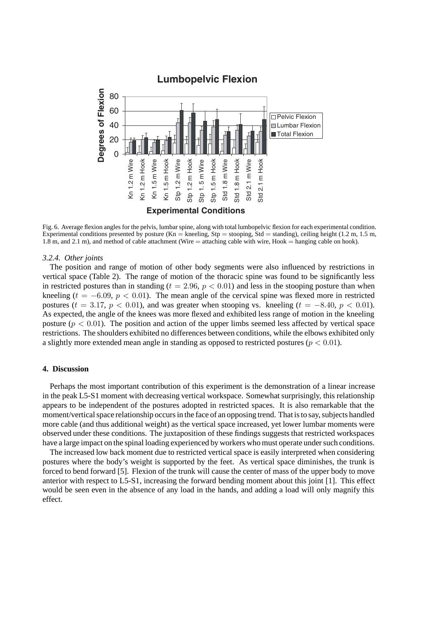

Fig. 6. Average flexion angles for the pelvis, lumbar spine, along with total lumbopelvic flexion for each experimental condition. Experimental conditions presented by posture (Kn = kneeling, Stp = stooping, Std = standing), ceiling height (1.2 m, 1.5 m, 1.8 m, and 2.1 m), and method of cable attachment (Wire = attaching cable with wire, Hook = hanging cable on hook).

#### *3.2.4. Other joints*

The position and range of motion of other body segments were also influenced by restrictions in vertical space (Table 2). The range of motion of the thoracic spine was found to be significantly less in restricted postures than in standing ( $t = 2.96$ ,  $p < 0.01$ ) and less in the stooping posture than when kneeling  $(t = -6.09, p < 0.01)$ . The mean angle of the cervical spine was flexed more in restricted postures ( $t = 3.17$ ,  $p < 0.01$ ), and was greater when stooping vs. kneeling ( $t = -8.40$ ,  $p < 0.01$ ). As expected, the angle of the knees was more flexed and exhibited less range of motion in the kneeling posture  $(p < 0.01)$ . The position and action of the upper limbs seemed less affected by vertical space restrictions. The shoulders exhibited no differences between conditions, while the elbows exhibited only a slightly more extended mean angle in standing as opposed to restricted postures ( $p < 0.01$ ).

## **4. Discussion**

Perhaps the most important contribution of this experiment is the demonstration of a linear increase in the peak L5-S1 moment with decreasing vertical workspace. Somewhat surprisingly, this relationship appears to be independent of the postures adopted in restricted spaces. It is also remarkable that the moment/vertical space relationship occurs in the face of an opposing trend. That is to say, subjects handled more cable (and thus additional weight) as the vertical space increased, yet lower lumbar moments were observed under these conditions. The juxtaposition of these findings suggests that restricted workspaces have a large impact on the spinal loading experienced by workers who must operate under such conditions.

The increased low back moment due to restricted vertical space is easily interpreted when considering postures where the body's weight is supported by the feet. As vertical space diminishes, the trunk is forced to bend forward [5]. Flexion of the trunk will cause the center of mass of the upper body to move anterior with respect to L5-S1, increasing the forward bending moment about this joint [1]. This effect would be seen even in the absence of any load in the hands, and adding a load will only magnify this effect.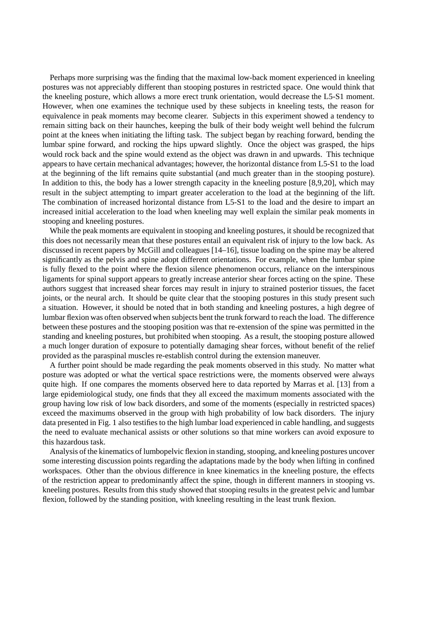Perhaps more surprising was the finding that the maximal low-back moment experienced in kneeling postures was not appreciably different than stooping postures in restricted space. One would think that the kneeling posture, which allows a more erect trunk orientation, would decrease the L5-S1 moment. However, when one examines the technique used by these subjects in kneeling tests, the reason for equivalence in peak moments may become clearer. Subjects in this experiment showed a tendency to remain sitting back on their haunches, keeping the bulk of their body weight well behind the fulcrum point at the knees when initiating the lifting task. The subject began by reaching forward, bending the lumbar spine forward, and rocking the hips upward slightly. Once the object was grasped, the hips would rock back and the spine would extend as the object was drawn in and upwards. This technique appears to have certain mechanical advantages; however, the horizontal distance from L5-S1 to the load at the beginning of the lift remains quite substantial (and much greater than in the stooping posture). In addition to this, the body has a lower strength capacity in the kneeling posture [8,9,20], which may result in the subject attempting to impart greater acceleration to the load at the beginning of the lift. The combination of increased horizontal distance from L5-S1 to the load and the desire to impart an increased initial acceleration to the load when kneeling may well explain the similar peak moments in stooping and kneeling postures.

While the peak moments are equivalent in stooping and kneeling postures, it should be recognized that this does not necessarily mean that these postures entail an equivalent risk of injury to the low back. As discussed in recent papers by McGill and colleagues [14–16], tissue loading on the spine may be altered significantly as the pelvis and spine adopt different orientations. For example, when the lumbar spine is fully flexed to the point where the flexion silence phenomenon occurs, reliance on the interspinous ligaments for spinal support appears to greatly increase anterior shear forces acting on the spine. These authors suggest that increased shear forces may result in injury to strained posterior tissues, the facet joints, or the neural arch. It should be quite clear that the stooping postures in this study present such a situation. However, it should be noted that in both standing and kneeling postures, a high degree of lumbar flexion was often observed when subjects bent the trunk forward to reach the load. The difference between these postures and the stooping position was that re-extension of the spine was permitted in the standing and kneeling postures, but prohibited when stooping. As a result, the stooping posture allowed a much longer duration of exposure to potentially damaging shear forces, without benefit of the relief provided as the paraspinal muscles re-establish control during the extension maneuver.

A further point should be made regarding the peak moments observed in this study. No matter what posture was adopted or what the vertical space restrictions were, the moments observed were always quite high. If one compares the moments observed here to data reported by Marras et al. [13] from a large epidemiological study, one finds that they all exceed the maximum moments associated with the group having low risk of low back disorders, and some of the moments (especially in restricted spaces) exceed the maximums observed in the group with high probability of low back disorders. The injury data presented in Fig. 1 also testifies to the high lumbar load experienced in cable handling, and suggests the need to evaluate mechanical assists or other solutions so that mine workers can avoid exposure to this hazardous task.

Analysis of the kinematics of lumbopelvic flexion in standing, stooping, and kneeling postures uncover some interesting discussion points regarding the adaptations made by the body when lifting in confined workspaces. Other than the obvious difference in knee kinematics in the kneeling posture, the effects of the restriction appear to predominantly affect the spine, though in different manners in stooping vs. kneeling postures. Results from this study showed that stooping results in the greatest pelvic and lumbar flexion, followed by the standing position, with kneeling resulting in the least trunk flexion.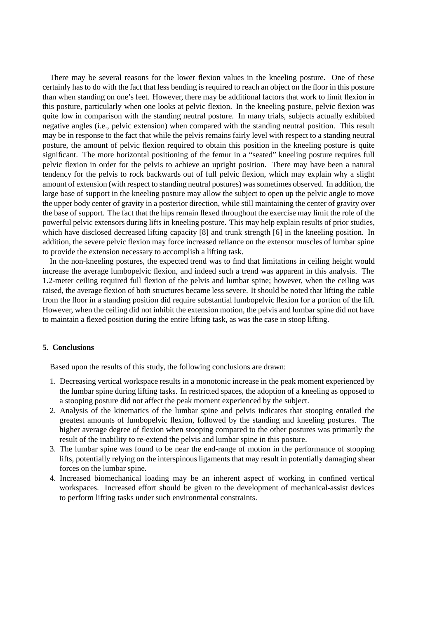There may be several reasons for the lower flexion values in the kneeling posture. One of these certainly has to do with the fact that less bending is required to reach an object on the floor in this posture than when standing on one's feet. However, there may be additional factors that work to limit flexion in this posture, particularly when one looks at pelvic flexion. In the kneeling posture, pelvic flexion was quite low in comparison with the standing neutral posture. In many trials, subjects actually exhibited negative angles (i.e., pelvic extension) when compared with the standing neutral position. This result may be in response to the fact that while the pelvis remains fairly level with respect to a standing neutral posture, the amount of pelvic flexion required to obtain this position in the kneeling posture is quite significant. The more horizontal positioning of the femur in a "seated" kneeling posture requires full pelvic flexion in order for the pelvis to achieve an upright position. There may have been a natural tendency for the pelvis to rock backwards out of full pelvic flexion, which may explain why a slight amount of extension (with respect to standing neutral postures) was sometimes observed. In addition, the large base of support in the kneeling posture may allow the subject to open up the pelvic angle to move the upper body center of gravity in a posterior direction, while still maintaining the center of gravity over the base of support. The fact that the hips remain flexed throughout the exercise may limit the role of the powerful pelvic extensors during lifts in kneeling posture. This may help explain results of prior studies, which have disclosed decreased lifting capacity [8] and trunk strength [6] in the kneeling position. In addition, the severe pelvic flexion may force increased reliance on the extensor muscles of lumbar spine to provide the extension necessary to accomplish a lifting task.

In the non-kneeling postures, the expected trend was to find that limitations in ceiling height would increase the average lumbopelvic flexion, and indeed such a trend was apparent in this analysis. The 1.2-meter ceiling required full flexion of the pelvis and lumbar spine; however, when the ceiling was raised, the average flexion of both structures became less severe. It should be noted that lifting the cable from the floor in a standing position did require substantial lumbopelvic flexion for a portion of the lift. However, when the ceiling did not inhibit the extension motion, the pelvis and lumbar spine did not have to maintain a flexed position during the entire lifting task, as was the case in stoop lifting.

## **5. Conclusions**

Based upon the results of this study, the following conclusions are drawn:

- 1. Decreasing vertical workspace results in a monotonic increase in the peak moment experienced by the lumbar spine during lifting tasks. In restricted spaces, the adoption of a kneeling as opposed to a stooping posture did not affect the peak moment experienced by the subject.
- 2. Analysis of the kinematics of the lumbar spine and pelvis indicates that stooping entailed the greatest amounts of lumbopelvic flexion, followed by the standing and kneeling postures. The higher average degree of flexion when stooping compared to the other postures was primarily the result of the inability to re-extend the pelvis and lumbar spine in this posture.
- 3. The lumbar spine was found to be near the end-range of motion in the performance of stooping lifts, potentially relying on the interspinous ligaments that may result in potentially damaging shear forces on the lumbar spine.
- 4. Increased biomechanical loading may be an inherent aspect of working in confined vertical workspaces. Increased effort should be given to the development of mechanical-assist devices to perform lifting tasks under such environmental constraints.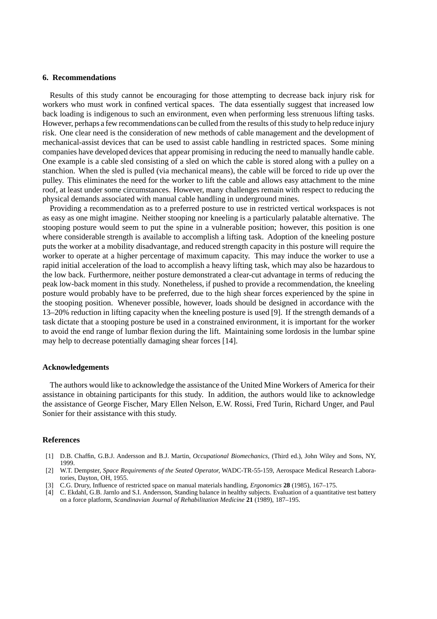#### **6. Recommendations**

Results of this study cannot be encouraging for those attempting to decrease back injury risk for workers who must work in confined vertical spaces. The data essentially suggest that increased low back loading is indigenous to such an environment, even when performing less strenuous lifting tasks. However, perhaps a few recommendations can be culled from the results of this study to help reduce injury risk. One clear need is the consideration of new methods of cable management and the development of mechanical-assist devices that can be used to assist cable handling in restricted spaces. Some mining companies have developed devices that appear promising in reducing the need to manually handle cable. One example is a cable sled consisting of a sled on which the cable is stored along with a pulley on a stanchion. When the sled is pulled (via mechanical means), the cable will be forced to ride up over the pulley. This eliminates the need for the worker to lift the cable and allows easy attachment to the mine roof, at least under some circumstances. However, many challenges remain with respect to reducing the physical demands associated with manual cable handling in underground mines.

Providing a recommendation as to a preferred posture to use in restricted vertical workspaces is not as easy as one might imagine. Neither stooping nor kneeling is a particularly palatable alternative. The stooping posture would seem to put the spine in a vulnerable position; however, this position is one where considerable strength is available to accomplish a lifting task. Adoption of the kneeling posture puts the worker at a mobility disadvantage, and reduced strength capacity in this posture will require the worker to operate at a higher percentage of maximum capacity. This may induce the worker to use a rapid initial acceleration of the load to accomplish a heavy lifting task, which may also be hazardous to the low back. Furthermore, neither posture demonstrated a clear-cut advantage in terms of reducing the peak low-back moment in this study. Nonetheless, if pushed to provide a recommendation, the kneeling posture would probably have to be preferred, due to the high shear forces experienced by the spine in the stooping position. Whenever possible, however, loads should be designed in accordance with the 13–20% reduction in lifting capacity when the kneeling posture is used [9]. If the strength demands of a task dictate that a stooping posture be used in a constrained environment, it is important for the worker to avoid the end range of lumbar flexion during the lift. Maintaining some lordosis in the lumbar spine may help to decrease potentially damaging shear forces [14].

## **Acknowledgements**

The authors would like to acknowledge the assistance of the United Mine Workers of America for their assistance in obtaining participants for this study. In addition, the authors would like to acknowledge the assistance of George Fischer, Mary Ellen Nelson, E.W. Rossi, Fred Turin, Richard Unger, and Paul Sonier for their assistance with this study.

#### **References**

- [1] D.B. Chaffin, G.B.J. Andersson and B.J. Martin, *Occupational Biomechanics,* (Third ed.), John Wiley and Sons, NY, 1999.
- [2] W.T. Dempster, *Space Requirements of the Seated Operator*, WADC-TR-55-159, Aerospace Medical Research Laboratories, Dayton, OH, 1955.
- [3] C.G. Drury, Influence of restricted space on manual materials handling, *Ergonomics* **28** (1985), 167–175.
- [4] C. Ekdahl, G.B. Jarnlo and S.I. Andersson, Standing balance in healthy subjects. Evaluation of a quantitative test battery on a force platform, *Scandinavian Journal of Rehabilitation Medicine* **21** (1989), 187–195.